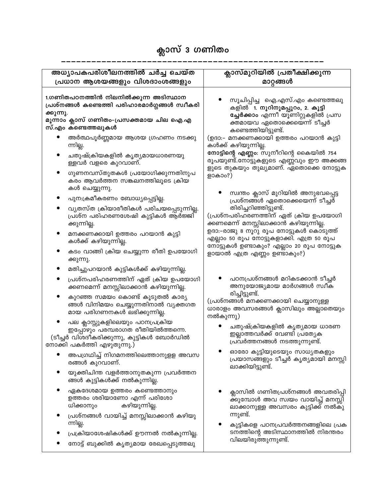## ക്ലാസ് 3 ഗണിതം

| അധ്യാപകപരിശീലനത്തിൽ ചർച്ച ചെയ്ത                                                                                                                                      |                                                                                                                                                                                                | ക്ലാസ്മുറിയിൽ പ്രതീക്ഷിക്കുന്ന                                                                                                                                                                                |  |
|----------------------------------------------------------------------------------------------------------------------------------------------------------------------|------------------------------------------------------------------------------------------------------------------------------------------------------------------------------------------------|---------------------------------------------------------------------------------------------------------------------------------------------------------------------------------------------------------------|--|
| പ്രധാന ആശയങ്ങളും വിശദാംശങ്ങളും                                                                                                                                       |                                                                                                                                                                                                | മാറ്റങ്ങൾ                                                                                                                                                                                                     |  |
| 1.ഗണിതപഠനത്തിൻ നിലനിൽക്കുന്ന അടിസ്ഥാന<br>പ്രശ്നങ്ങൾ കണ്ടെത്തി പരിഹാരമാർഗ്ഗങ്ങൾ സ്വീകരി<br>ക്കുന്നു.<br>മൂന്നാം ക്ലാസ് ഗണിതം–പ്രസക്തമായ ചില ഐ.എ<br>സ്.എം കണ്ടെത്തലുകൾ |                                                                                                                                                                                                | സൂചിപ്പിച്ച  ഐ.എസ്.എം കണ്ടെത്തലു<br>കളിൽ 1. നൂറിനുമപ്പുറം, 2. കൂട്ടി<br><b>ച്ചേർക്കാം</b> എന്നീ യൂണിറ്റുകളിൽ പ്രസ<br>ക്തമായവ ഏതൊക്കെയെ്ന്ന് ടീച്ചർ<br>കണ്ടെത്തിയിട്ടുണ്ട്.                                    |  |
|                                                                                                                                                                      | അർത്ഥപൂർണ്ണമായ ആശയ ഗ്രഹണം നടക്കു<br>ന്നില്ല.<br>ചതുഷ്ക്രിയകളിൽ കൃത്യമായധാരണയു<br>ള്ളവർ വളരെ കുറവാണ്.<br>ഗുണനവസ്തുതകൾ പ്രയോഗിക്കുന്നതിനുപ<br>കരം ആവർത്തന സങ്കലനത്തിലൂടെ ക്രിയ<br>കൾ ചെയ്യുന്നു. | (ഉദാ:- മനക്കണക്കായി ഉത്തരം പറയാൻ കുട്ടി<br><br>കൾക്ക് കഴിയുന്നില്ല.<br>നോട്ടിന്റെ എണ്ണം: സുനീറിന്റെ കൈയിൽ 754<br>രൂപയുണ്ട്.നോട്ടുകളുടെ എണ്ണവും ഈ അക്കങ്ങ<br>ളുടെ തുകയും തുല്യമാണ്. ഏതൊക്കെ നോട്ടുക<br>ളാകാം?) |  |
|                                                                                                                                                                      | പുന:ക്രമീകരണം ബോധ്യപ്പെട്ടില്ല.                                                                                                                                                                | സ്വന്തം ക്ലാസ് മുറിയിൽ അനുഭവപ്പെട്ട                                                                                                                                                                           |  |
|                                                                                                                                                                      | വ്യതസ്ത ക്രിയാരീതികൾ പരിചയപ്പെടുന്നില്ല.<br><u>പ്രശ്ന പരിഹരണശേഷി കുട്ടികൾ ആർജ്ജി്</u><br>ക്കുന്നില്ല.                                                                                          | പ്രശ്നങ്ങൾ ഏതൊക്കെയെന്ന് ടീച്ചർ<br>തിരിച്ചറിഞ്ഞിട്ടുണ്ട്.<br>(പ്രശ്നപരിഹരണത്തിന് ഏത് ക്രിയ ഉപയോഗി<br>ക്കണമെന്ന് മനസ്സിലാക്കാൻ കഴിയുന്നില്ല.                                                                   |  |
|                                                                                                                                                                      | മനക്കണക്കായി ഉത്തരം പറയാൻ കുട്ടി<br>കൾക്ക് കഴിയുന്നില്ല.                                                                                                                                       | ഉദാ:-രാജു 8 നൂറു രൂപ നോട്ടുകൾ കൊടുത്ത്<br>എല്ലാം 50 രൂപ നോട്ടുകളാക്കി. എത്ര 50 രൂപ                                                                                                                            |  |
|                                                                                                                                                                      | കടം വാങ്ങി ക്രിയ ചെയ്യുന്ന രീതി ഉപയോഗി<br>ക്കുന്നു.                                                                                                                                            | നോട്ടുകൾ ഉണ്ടാകും? എല്ലാം 20 രൂപ നോട്ടുക<br>ളായാൽ എത്ര എണ്ണം ഉണ്ടാകും?)                                                                                                                                       |  |
|                                                                                                                                                                      | മതിച്ചുപറയാൻ കുട്ടികൾക്ക് കഴിയുന്നില്ല.                                                                                                                                                        |                                                                                                                                                                                                               |  |
|                                                                                                                                                                      | പ്രശ്നപരിഹരണത്തിന് ഏത് ക്രിയ ഉപയോഗി<br>ക്കണമെന്ന് മനസ്സിലാക്കാൻ കഴിയുന്നില്ല.                                                                                                                  | പഠനപ്രശ്നങ്ങൾ മറികടക്കാൻ ടീച്ചർ<br>അനുയോജ്യമായ മാർഗങ്ങൾ സ്വീക                                                                                                                                                 |  |
|                                                                                                                                                                      | കുറഞ്ഞ സമയം കൊണ്ട് കൂടുതൽ കാര്യ<br>ങ്ങൾ വിനിമയം ചെയ്യുന്നതിനാൽ വ്യക്തഗത<br>മായ പരിഗണനകൾ ലഭിക്കുന്നില്ല.                                                                                        | രിച്ചിട്ടുണ്ട്.<br>(പ്രശ്നങ്ങൾ മനക്കണക്കായി ചെയ്യാനുള്ള<br>ധാരാളം അവസരങ്ങൾ ക്ലാസിലും അല്ലാതെയും<br>നൽകുന്നു)                                                                                                  |  |
|                                                                                                                                                                      | പല ക്ലാസ്സുകളിലെയും പഠനപ്രക്രിയ<br>ഇപ്പോഴും പരമ്പരാഗത രീതിയിൽത്തന്നെ.<br>(ടീച്ചർ വിശദീകരിക്കുന്നു, കുട്ടികൾ ബോർഡിൽ<br>നോക്കി പകർത്തി എഴുതുന്നു.)                                               | ചതുഷ്ക്രിയകളിൽ കൃത്യമായ ധാരണ<br>ഇല്ലാത്തവർക്ക് വേണ്ടി പ്രത്യേക<br>പ്രവർത്തനങ്ങൾ നടത്തുന്നുണ്ട്.                                                                                                               |  |
|                                                                                                                                                                      | അപഗ്രഥിച്ച് നിഗമനത്തിലെത്താനുളള അവസ<br>രങ്ങൾ കുറവാണ്.                                                                                                                                          | ഓരോ കുട്ടിയുടെയും സാധ്യതകളും<br>പ്രയാസങ്ങളും ടീച്ചർ കൃത്യമായി മനസ്സി<br>ലാക്കിയിട്ടുണ്ട്.                                                                                                                     |  |
|                                                                                                                                                                      | യുക്തിചിന്ത വളർത്താനുതകുന്ന പ്രവർത്തന<br>ങ്ങൾ കുട്ടികൾക്ക് നൽകുന്നില്ല.                                                                                                                        |                                                                                                                                                                                                               |  |
|                                                                                                                                                                      | ഏകദേശമായ ഉത്തരം കണ്ടെത്താനും<br>ഉത്തരം ശരിയാണോ എന്ന് പരിശോ<br>കഴിയുന്നില്ല.<br>ധിക്കാനും                                                                                                       | ക്ലാസിൽ ഗണിതപ്രശ്നങ്ങൾ അവതരിപ്പി<br>ക്കുമ്പോൾ അവ സ്വയം വായിച്ച് മനസ്സി<br>ലാക്കാനുള്ള അവസരം കുട്ടിക്ക് നൽകു                                                                                                   |  |
|                                                                                                                                                                      | പ്രശ്നങ്ങൾ വായിച്ച് മനസ്സിലാക്കാൻ കഴിയു<br>ന്നില്ല.                                                                                                                                            | ന്നുണ്ട്.<br>കുട്ടികളെ പഠനപ്രവർത്തനങ്ങളിലെ പ്രക                                                                                                                                                               |  |
|                                                                                                                                                                      | പ്രക്രിയാശേഷികൾക്ക് ഊന്നൽ നൽകുന്നില്ല.                                                                                                                                                         | ടനത്തിന്റെ അടിസ്ഥാനത്തിൽ നിരന്തരം                                                                                                                                                                             |  |
|                                                                                                                                                                      | നോട്ട് ബുക്കിൽ കൃത്യമായ രേഖപ്പെടുത്തലു                                                                                                                                                         | വിലയിരുത്തുന്നുണ്ട്.                                                                                                                                                                                          |  |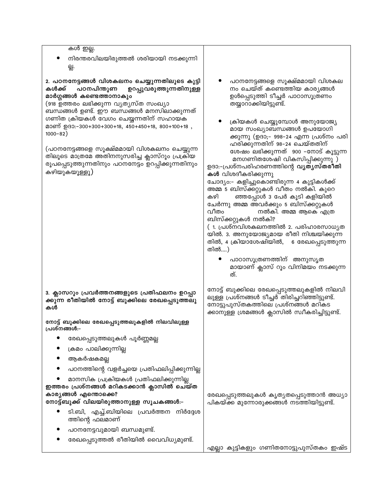| <u>കൾ ഇല്ല.</u>                                                                                                                                                                                                         |                                                                                                                                                                                                                                                                                                                                                             |
|-------------------------------------------------------------------------------------------------------------------------------------------------------------------------------------------------------------------------|-------------------------------------------------------------------------------------------------------------------------------------------------------------------------------------------------------------------------------------------------------------------------------------------------------------------------------------------------------------|
| നിരന്തരവിലയിരുത്തൽ ശരിയായി നടക്കുന്നി<br>딣.                                                                                                                                                                             |                                                                                                                                                                                                                                                                                                                                                             |
|                                                                                                                                                                                                                         |                                                                                                                                                                                                                                                                                                                                                             |
| 2. പഠനനേട്ടങ്ങൾ വിശകലനം ചെയ്യുന്നതിലൂടെ കുട്ടി<br>പഠനപിന്തുണ<br>കൾക്ക്<br>ഉറപ്പുവരുത്തുന്നതിനുള്ള<br>മാർഗ്ഗങ്ങൾ കണ്ടെത്താനാകും<br>(918 ഉത്തരം ലഭിക്കുന്ന വ്യത്യസ്ത സംഖ്യാ<br>ബന്ധങ്ങൾ ഉണ്ട്. ഈ ബന്ധങ്ങൾ മനസിലാക്കുന്നത് | പഠനനേട്ടങ്ങളെ സൂക്ഷ്മമായി വിശകല<br>നം ചെയ്ത് കണ്ടെത്തിയ കാര്യങ്ങൾ<br>ഉൾപ്പെടുത്തി ടീച്ചർ പാഠാസൂത്രണം<br>തയ്യാറാക്കിയിട്ടുണ്ട്.                                                                                                                                                                                                                              |
| ഗണിത ക്രിയകൾ വേഗം ചെയ്യന്നതിന് സഹായക<br>മാണ് ഉദാ:-300+300+300+18, 450+450+18, 800+100+18,<br>$1000 - 82)$                                                                                                               | ക്രിയകൾ ചെയ്യുമ്പോൾ അനുയോജ്യ<br>മായ സംഖ്യാബന്ധങ്ങൾ ഉപയോഗി<br>ക്കുന്നു (ഉദാ;– 998–24 എന്ന പ്രശ്നം പരി                                                                                                                                                                                                                                                        |
| (പഠനനേട്ടങ്ങളെ സൂക്ഷ്മമായി വിശകലനം ചെയ്യുന്ന<br>.<br>തിലൂടെ മാത്രമേ അതിനനുസരിച്ച ക്ലാസ്റൂം പ്രക്രിയ<br>രൂപപ്പെടുത്തുന്നതിനും പഠനനേട്ടം ഉറപ്പിക്കുന്നതിനും<br>കഴിയുകയൂള്ളൂ)                                              | ഹരിക്കുന്നതിന് 98–24 ചെയ്തതിന്<br>ശേഷം ലഭിക്കുന്നത് 900 -നോട് കൂട്ടുന്ന<br>മനഗണിതശേഷി വികസിപ്പിക്കുന്നു )<br>ഉദാ:-പ്രശ്നപരിഹരണത്തിന്റെ <b>വൃതൃസ്തരീതി</b><br><b>കൾ</b> വിശദീകരിക്കുന്നു<br>ചോദ്യം:– കളിച്ചുകൊണ്ടിരുന്ന 4 കുട്ടികൾക്ക്<br>അമ്മ 5 ബിസ്ക്കറ്റുകൾ വീതം നൽകി. കുറെ<br>ഞ്ഞപ്പോൾ 3 പേർ കൂടി കളിയിൽ<br>കഴി<br>ചേർന്നു അമ്മ അവർക്കും 5 ബിസ്ക്കറ്റുകൾ |
|                                                                                                                                                                                                                         | വീതം<br>നൽകി. അമ്മ ആകെ എത്ര<br>ബിസ്ക്കറ്റുകൾ നൽകി?<br>( 1. പ്രശ്നവിശകലനത്തിൽ 2. പരിഹാരസാധ്യത<br>യിൽ. 3. അനുയോജ്യമായ രീതി നിശ്ചയിക്കുന്ന<br>തിൽ, 4 ക്രിയാശേഷിയിൽ, 6 രേഖപ്പെടുത്തുന്ന<br>തിൽ)                                                                                                                                                                 |
|                                                                                                                                                                                                                         | പാഠാസൂത്രണത്തിന് അനുസൃത<br>മായാണ് ക്ലാസ് റൂം വിനിമയം നടക്കുന്ന<br>ത്.                                                                                                                                                                                                                                                                                       |
| 3. ക്ലാസറൂം പ്രവർത്തനങ്ങളുടെ പ്രതിഫലനം ഉറപ്പാ<br>ക്കുന്ന രീതിയിൽ നോട്ട് ബുക്കിലെ രേഖപ്പെടുത്തലു<br>കൾ                                                                                                                   | നോട്ട് ബുക്കിലെ രേഖപ്പെടുത്തലുകളിൽ നിലവി<br>ലുള്ള പ്രശ്നങ്ങൾ ടീച്ചർ <sup>-</sup> തിരിച്ചറിഞ്ഞിട്ടുണ്ട്.<br>നോട്ടുപുസ്തകത്തിലെ പ്രശ്നങ്ങൾ മറികട<br>ക്കാനുള്ള ശ്രമങ്ങൾ ക്ലാസിൽ സ്വീകരിച്ചിട്ടുണ്ട്.                                                                                                                                                           |
| നോട്ട് ബുക്കിലെ രേഖപ്പെടുത്തലുകളിൽ നിലവിലുള്ള<br>പ്രശ്നങ്ങൾ:–                                                                                                                                                           |                                                                                                                                                                                                                                                                                                                                                             |
| രേഖപ്പെടുത്തലുകൾ പൂർണ്ണമല്ല                                                                                                                                                                                             |                                                                                                                                                                                                                                                                                                                                                             |
| ക്രമം പാലിക്കുന്നില്ല                                                                                                                                                                                                   |                                                                                                                                                                                                                                                                                                                                                             |
| ആകർഷകമല്ല                                                                                                                                                                                                               |                                                                                                                                                                                                                                                                                                                                                             |
| പഠനത്തിന്റെ വളർച്ചയെ പ്രതിഫലിപ്പിക്കുന്നില്ല                                                                                                                                                                            |                                                                                                                                                                                                                                                                                                                                                             |
| മാനസിക പ്രക്രിയകൾ പ്രതിഫലിക്കുന്നില്ല<br>ഇത്തരം പ്രശ്നങ്ങൾ മറികടക്കാൻ ക്ലാസിൽ ചെയ്ത<br>കാര്യങ്ങൾ എന്തൊക്കെ?<br>നോട്ട്ബുക്ക് വിലയിരുത്താനുള്ള സൂചകങ്ങൾ:–                                                                 | രേഖപ്പെടുത്തലുകൾ കൃത്യതപ്പെടുത്താൻ അധ്യാ<br>പികയ്ക്ക മുന്നോരുക്കങ്ങൾ നടത്തിയിട്ടുണ്ട്.                                                                                                                                                                                                                                                                      |
| ടി.ബി, എച്ച്.ബിയിലെ പ്രവർത്തന നിർദ്ദേശ<br>ത്തിന്റെ ഫലമാണ്                                                                                                                                                               |                                                                                                                                                                                                                                                                                                                                                             |
| പഠനനേട്ടവുമായി ബന്ധമുണ്ട്.                                                                                                                                                                                              |                                                                                                                                                                                                                                                                                                                                                             |
| രേഖപ്പെടുത്തൽ രീതിയിൽ വൈവിധ്യമുണ്ട്.                                                                                                                                                                                    |                                                                                                                                                                                                                                                                                                                                                             |
|                                                                                                                                                                                                                         | എല്ലാ കുട്ടികളും ഗണിതനോട്ടുപുസ്തകം ഇഷ്ട                                                                                                                                                                                                                                                                                                                     |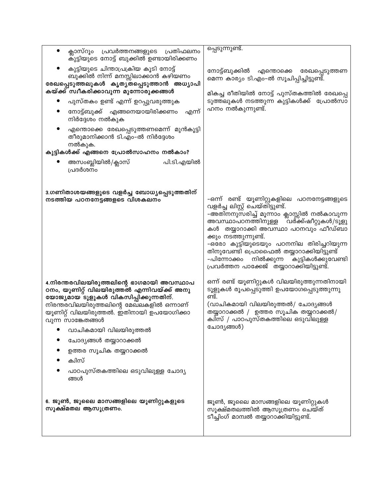| ക്ലാസ്റൂം പ്രവർത്തനങ്ങളുടെ പ്രതിഫലനം<br>$\bullet$<br>കുട്ടിയുടെ നോട്ട് ബുക്കിൽ ഉണ്ടായിരിക്കണം                                                                                                                                                 | പ്പെടുന്നുണ്ട്.                                                                                                                                                                                                                                                                                                                                                                                                                            |
|-----------------------------------------------------------------------------------------------------------------------------------------------------------------------------------------------------------------------------------------------|--------------------------------------------------------------------------------------------------------------------------------------------------------------------------------------------------------------------------------------------------------------------------------------------------------------------------------------------------------------------------------------------------------------------------------------------|
| കുട്ടിയുടെ ചിന്താപ്രക്രിയ കൂടി നോട്ട്<br>ബുക്കിൽ നിന്ന് മനസ്സിലാക്കാൻ കഴിയണം<br>രേഖപ്പെടുത്തലുകൾ കൃത്യതപ്പെടുത്താൻ അധ്യാപി<br>കയ്ക്ക് സ്വീകരിക്കാവുന്ന മുന്നോരുക്കങ്ങൾ                                                                        | നോട്ട്ബുക്കിൽ<br>എന്തൊക്കെ രേഖപ്പെടുത്തണ<br>മെന്ന കാര്യം ടി.എം-ൽ സൂചിപ്പിച്ചിട്ടുണ്ട്.<br>മികച്ച രീതിയിൽ നോട്ട് പുസ്തകത്തിൽ രേഖപ്പെ                                                                                                                                                                                                                                                                                                        |
| പുസ്തകം ഉണ്ട് എന്ന് ഉറപ്പുവരുത്തുക                                                                                                                                                                                                            | ടുത്തലുകൾ നടത്തുന്ന കുട്ടികൾക്ക്  പ്രോൽസാ                                                                                                                                                                                                                                                                                                                                                                                                  |
| നോട്ട്ബുക്ക് എങ്ങനെയായിരിക്കണം<br>എന്ന്<br>നിർദ്ദേശം നൽകുക                                                                                                                                                                                    | ഹനം നൽകുന്നുണ്ട്.                                                                                                                                                                                                                                                                                                                                                                                                                          |
| എന്തൊക്കെ രേഖപ്പെടുത്തണമെന്ന് മുൻകൂട്ടി<br>തീരുമാനിക്കാൻ ടി.എം-ൽ നിർദ്ദേശം<br>നൽകുക.<br>കുട്ടികൾക്ക് എങ്ങനെ പ്രോൽസാഹനം നൽകാം?                                                                                                                 |                                                                                                                                                                                                                                                                                                                                                                                                                                            |
| അസംബ്ലിയിൽ/ക്ലാസ്<br>പി.ടി.എയിൽ<br>പ്രദർശനം                                                                                                                                                                                                   |                                                                                                                                                                                                                                                                                                                                                                                                                                            |
| 3.ഗണിതാശയങ്ങളുടെ വളർച്ച ബോധ്യപ്പെടുത്തതിന്<br>നടത്തിയ പഠനനേട്ടങ്ങളടെ വിശകലനം                                                                                                                                                                  | –ഒന്ന് രണ്ട് യൂണിറ്റുകളിലെ പഠനനേട്ടങ്ങളുടെ<br>വളർച്ച ലിസ്റ്റ് ചെയ്തിട്ടുണ്ട്.<br>-അതിനനുസരിച്ച് മൂന്നാം ക്ലാസ്സിൽ നൽകാവുന്ന<br>്വർക്ക്ഷീറ്റുകൾ <i>/</i> ടൂളു<br>അവസ്ഥാപഠനത്തിനുള്ള<br>കൾ തയ്യാറാക്കി അവസ്ഥാ പഠനവും ഫീഡ്ബാ<br>ക്കും നടത്തുന്നുണ്ട്.<br>-ഒരോ കുട്ടിയുടെയും പഠനനില തിരിച്ചറിയുന്ന<br>തിനുവേണ്ടി പ്രൊഫൈൽ തയ്യാറാക്കിയിട്ടുണ്ട്<br>കുട്ടികൾക്കുവേണ്ടി<br>നിൽക്കുന്ന<br>–പിന്നോക്കം<br>പ്രവർത്തന പാക്കേജ് തയ്യാറാക്കിയിട്ടുണ്ട്. |
| 4.നിരന്തരവിലയിരുത്തലിന്റെ ഭാഗമായി അവസ്ഥാപ<br>ഠനം, യൂണിറ്റ് വിലയിരുത്തൽ എന്നിവയ്ക്ക് അനു<br>യോജ്യമായ ടൂളുകൾ വികസിപ്പിക്കുന്നതിന്.<br>നിരന്തരവിലയിരുത്തലിന്റെ മേഖലകളിൽ ഒന്നാണ്<br>യൂണിറ്റ് വിലയിരുത്തൽ. ഇതിനായി ഉപയോഗിക്കാ<br>വുന്ന സാങ്കേതങ്ങൾ | ഒന്ന് രണ്ട് യൂണിറ്റുകൾ വിലയിരുത്തുന്നതിനായി<br>ടൂളുകൾ രൂപപ്പെടുത്തി ഉപയോഗപ്പെടുത്തുന്നു<br>ണ്ട്.<br>(വാചികമായി വിലയിരുത്തൽ/ ചോദ്യങ്ങൾ<br>തയ്യാറാക്കൽ / ഉത്തര സൂചിക തയ്യറാക്കൽ/<br>ക്വിസ് / പാഠപുസ്തകത്തിലെ ഒടുവിലുള്ള<br>ചോദ്യങ്ങൾ)                                                                                                                                                                                                        |
| വാചികമായി വിലയിരുത്തൽ                                                                                                                                                                                                                         |                                                                                                                                                                                                                                                                                                                                                                                                                                            |
| ചോദ്യങ്ങൾ തയ്യാറാക്കൽ                                                                                                                                                                                                                         |                                                                                                                                                                                                                                                                                                                                                                                                                                            |
| ഉത്തര സൂചിക തയ്യറാക്കൽ<br>ക്വിസ്                                                                                                                                                                                                              |                                                                                                                                                                                                                                                                                                                                                                                                                                            |
| പാഠപുസ്തകത്തിലെ ഒടുവിലുള്ള ചോദ്യ<br>ങ്ങൾ                                                                                                                                                                                                      |                                                                                                                                                                                                                                                                                                                                                                                                                                            |
| 6. ജൂൺ, ജൂലൈ മാസങ്ങളിലെ യൂണിറ്റുകളുടെ<br>സൂക്ഷ്മതല ആസൂത്രണം.                                                                                                                                                                                  | ജൂൺ, ജൂലൈ മാസങ്ങളിലെ യൂണിറ്റുകൾ<br>സൂക്ഷ്മതലത്തിൽ ആസൂത്രണം ചെയ്ത്<br>ടീച്ചിംഗ് മാന്വൽ തയ്യാറാക്കിയിട്ടുണ്ട്.                                                                                                                                                                                                                                                                                                                               |